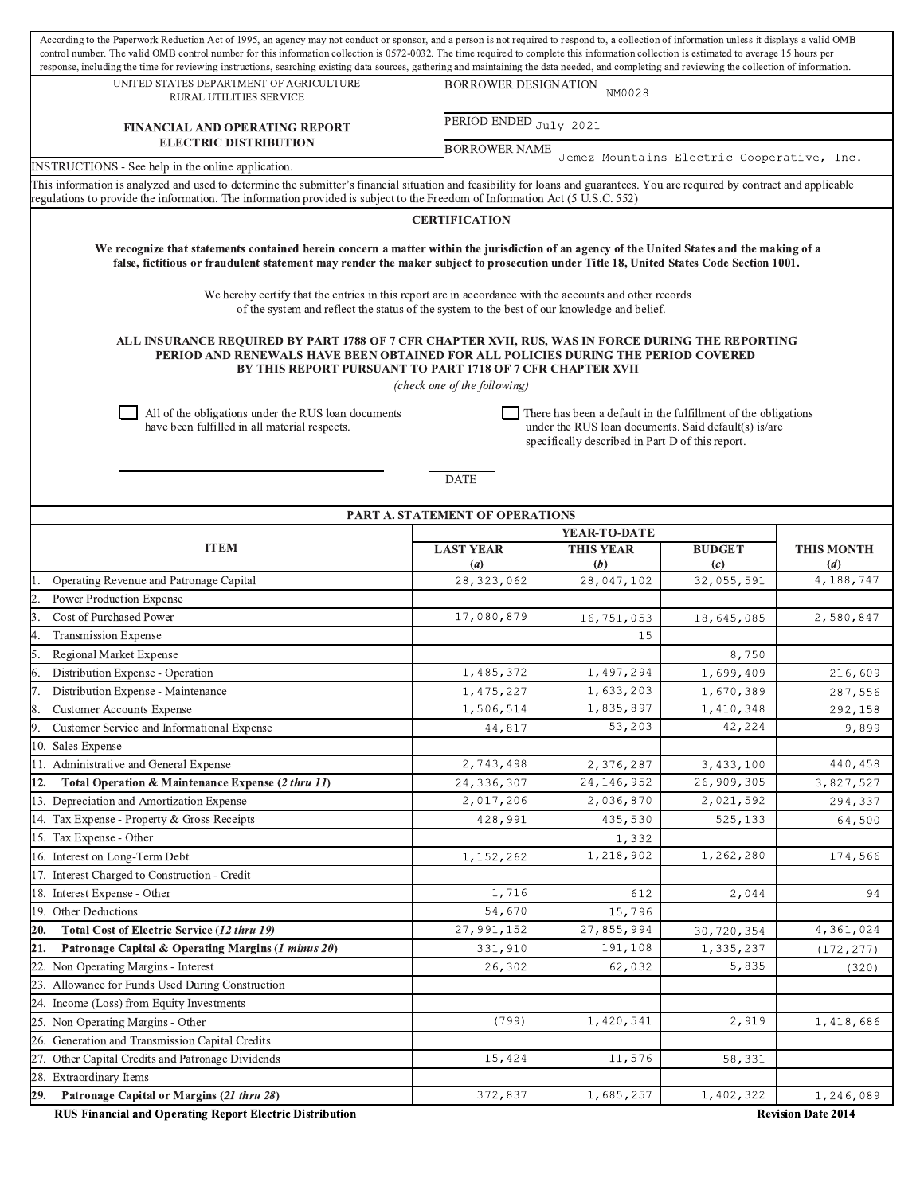| According to the Paperwork Reduction Act of 1995, an agency may not conduct or sponsor, and a person is not required to respond to, a collection of information unless it displays a valid OMB<br>control number. The valid OMB control number for this information collection is 0572-0032. The time required to complete this information collection is estimated to average 15 hours per<br>response, including the time for reviewing instructions, searching existing data sources, gathering and maintaining the data needed, and completing and reviewing the collection of information. |                                                                                                                                                                              |                                       |                                    |                          |  |  |  |  |  |  |
|-------------------------------------------------------------------------------------------------------------------------------------------------------------------------------------------------------------------------------------------------------------------------------------------------------------------------------------------------------------------------------------------------------------------------------------------------------------------------------------------------------------------------------------------------------------------------------------------------|------------------------------------------------------------------------------------------------------------------------------------------------------------------------------|---------------------------------------|------------------------------------|--------------------------|--|--|--|--|--|--|
| UNITED STATES DEPARTMENT OF AGRICULTURE<br>RURAL UTILITIES SERVICE                                                                                                                                                                                                                                                                                                                                                                                                                                                                                                                              |                                                                                                                                                                              | <b>BORROWER DESIGNATION</b><br>NM0028 |                                    |                          |  |  |  |  |  |  |
| <b>FINANCIAL AND OPERATING REPORT</b>                                                                                                                                                                                                                                                                                                                                                                                                                                                                                                                                                           |                                                                                                                                                                              | PERIOD ENDED July 2021                |                                    |                          |  |  |  |  |  |  |
| <b>ELECTRIC DISTRIBUTION</b><br>INSTRUCTIONS - See help in the online application.                                                                                                                                                                                                                                                                                                                                                                                                                                                                                                              | <b>BORROWER NAME</b><br>Jemez Mountains Electric Cooperative, Inc.                                                                                                           |                                       |                                    |                          |  |  |  |  |  |  |
|                                                                                                                                                                                                                                                                                                                                                                                                                                                                                                                                                                                                 | This information is analyzed and used to determine the submitter's financial situation and feasibility for loans and guarantees. You are required by contract and applicable |                                       |                                    |                          |  |  |  |  |  |  |
| regulations to provide the information. The information provided is subject to the Freedom of Information Act (5 U.S.C. 552)                                                                                                                                                                                                                                                                                                                                                                                                                                                                    |                                                                                                                                                                              |                                       |                                    |                          |  |  |  |  |  |  |
| <b>CERTIFICATION</b>                                                                                                                                                                                                                                                                                                                                                                                                                                                                                                                                                                            |                                                                                                                                                                              |                                       |                                    |                          |  |  |  |  |  |  |
| We recognize that statements contained herein concern a matter within the jurisdiction of an agency of the United States and the making of a<br>false, fictitious or fraudulent statement may render the maker subject to prosecution under Title 18, United States Code Section 1001.                                                                                                                                                                                                                                                                                                          |                                                                                                                                                                              |                                       |                                    |                          |  |  |  |  |  |  |
| We hereby certify that the entries in this report are in accordance with the accounts and other records<br>of the system and reflect the status of the system to the best of our knowledge and belief.                                                                                                                                                                                                                                                                                                                                                                                          |                                                                                                                                                                              |                                       |                                    |                          |  |  |  |  |  |  |
| ALL INSURANCE REQUIRED BY PART 1788 OF 7 CFR CHAPTER XVII, RUS, WAS IN FORCE DURING THE REPORTING<br>PERIOD AND RENEWALS HAVE BEEN OBTAINED FOR ALL POLICIES DURING THE PERIOD COVERED<br>BY THIS REPORT PURSUANT TO PART 1718 OF 7 CFR CHAPTER XVII<br>(check one of the following)                                                                                                                                                                                                                                                                                                            |                                                                                                                                                                              |                                       |                                    |                          |  |  |  |  |  |  |
| All of the obligations under the RUS loan documents<br>There has been a default in the fulfillment of the obligations<br>have been fulfilled in all material respects.<br>under the RUS loan documents. Said default(s) is/are<br>specifically described in Part D of this report.                                                                                                                                                                                                                                                                                                              |                                                                                                                                                                              |                                       |                                    |                          |  |  |  |  |  |  |
| <b>DATE</b><br>PART A. STATEMENT OF OPERATIONS                                                                                                                                                                                                                                                                                                                                                                                                                                                                                                                                                  |                                                                                                                                                                              |                                       |                                    |                          |  |  |  |  |  |  |
|                                                                                                                                                                                                                                                                                                                                                                                                                                                                                                                                                                                                 |                                                                                                                                                                              | YEAR-TO-DATE                          |                                    |                          |  |  |  |  |  |  |
| <b>ITEM</b>                                                                                                                                                                                                                                                                                                                                                                                                                                                                                                                                                                                     | <b>LAST YEAR</b><br>$\left(a\right)$                                                                                                                                         | <b>THIS YEAR</b><br>(b)               | <b>BUDGET</b><br>$\left( c\right)$ | <b>THIS MONTH</b><br>(d) |  |  |  |  |  |  |
| Operating Revenue and Patronage Capital                                                                                                                                                                                                                                                                                                                                                                                                                                                                                                                                                         | 28, 323, 062                                                                                                                                                                 | 28,047,102                            | 32,055,591                         | 4,188,747                |  |  |  |  |  |  |
| Power Production Expense                                                                                                                                                                                                                                                                                                                                                                                                                                                                                                                                                                        |                                                                                                                                                                              |                                       |                                    |                          |  |  |  |  |  |  |
| Cost of Purchased Power                                                                                                                                                                                                                                                                                                                                                                                                                                                                                                                                                                         | 17,080,879                                                                                                                                                                   | 16,751,053                            | 18,645,085                         | 2,580,847                |  |  |  |  |  |  |
| <b>Transmission Expense</b>                                                                                                                                                                                                                                                                                                                                                                                                                                                                                                                                                                     |                                                                                                                                                                              | 15                                    |                                    |                          |  |  |  |  |  |  |
| Regional Market Expense                                                                                                                                                                                                                                                                                                                                                                                                                                                                                                                                                                         |                                                                                                                                                                              |                                       | 8,750                              |                          |  |  |  |  |  |  |
| Distribution Expense - Operation                                                                                                                                                                                                                                                                                                                                                                                                                                                                                                                                                                | 1,485,372                                                                                                                                                                    | 1,497,294                             | 1,699,409                          | 216,609                  |  |  |  |  |  |  |
| Distribution Expense - Maintenance                                                                                                                                                                                                                                                                                                                                                                                                                                                                                                                                                              | 1,475,227                                                                                                                                                                    | 1,633,203                             | 1,670,389                          | 287,556                  |  |  |  |  |  |  |
| <b>Customer Accounts Expense</b>                                                                                                                                                                                                                                                                                                                                                                                                                                                                                                                                                                | 1,506,514                                                                                                                                                                    | 1,835,897                             | 1, 410, 348                        | 292,158                  |  |  |  |  |  |  |
| Customer Service and Informational Expense                                                                                                                                                                                                                                                                                                                                                                                                                                                                                                                                                      | 44,817                                                                                                                                                                       | 53,203                                | 42,224                             | 9,899                    |  |  |  |  |  |  |
| 10. Sales Expense                                                                                                                                                                                                                                                                                                                                                                                                                                                                                                                                                                               |                                                                                                                                                                              |                                       |                                    |                          |  |  |  |  |  |  |
| 11. Administrative and General Expense                                                                                                                                                                                                                                                                                                                                                                                                                                                                                                                                                          | 2,743,498                                                                                                                                                                    | 2,376,287                             | 3,433,100                          | 440,458                  |  |  |  |  |  |  |
| Total Operation & Maintenance Expense (2 thru 11)<br>12.                                                                                                                                                                                                                                                                                                                                                                                                                                                                                                                                        | 24,336,307                                                                                                                                                                   | 24, 146, 952                          | 26,909,305                         | 3,827,527                |  |  |  |  |  |  |
| 13. Depreciation and Amortization Expense                                                                                                                                                                                                                                                                                                                                                                                                                                                                                                                                                       | 2,017,206                                                                                                                                                                    | 2,036,870                             | 2,021,592                          | 294,337                  |  |  |  |  |  |  |
| 14. Tax Expense - Property & Gross Receipts                                                                                                                                                                                                                                                                                                                                                                                                                                                                                                                                                     | 428,991                                                                                                                                                                      | 435,530                               | 525,133                            | 64,500                   |  |  |  |  |  |  |
| 15. Tax Expense - Other                                                                                                                                                                                                                                                                                                                                                                                                                                                                                                                                                                         |                                                                                                                                                                              | 1,332                                 | 1,262,280                          |                          |  |  |  |  |  |  |
| 16. Interest on Long-Term Debt                                                                                                                                                                                                                                                                                                                                                                                                                                                                                                                                                                  | 1, 152, 262                                                                                                                                                                  | 1,218,902                             |                                    | 174,566                  |  |  |  |  |  |  |
| 17. Interest Charged to Construction - Credit                                                                                                                                                                                                                                                                                                                                                                                                                                                                                                                                                   | 1,716                                                                                                                                                                        |                                       |                                    |                          |  |  |  |  |  |  |
| 18. Interest Expense - Other<br>19. Other Deductions                                                                                                                                                                                                                                                                                                                                                                                                                                                                                                                                            | 54,670                                                                                                                                                                       | 612                                   | 2,044                              | 94                       |  |  |  |  |  |  |
| Total Cost of Electric Service (12 thru 19)<br>20.                                                                                                                                                                                                                                                                                                                                                                                                                                                                                                                                              | 27,991,152                                                                                                                                                                   | 15,796<br>27,855,994                  | 30,720,354                         | 4,361,024                |  |  |  |  |  |  |
| Patronage Capital & Operating Margins (1 minus 20)<br>21.                                                                                                                                                                                                                                                                                                                                                                                                                                                                                                                                       | 331,910                                                                                                                                                                      | 191,108                               | 1,335,237                          | (172, 277)               |  |  |  |  |  |  |
| 22. Non Operating Margins - Interest                                                                                                                                                                                                                                                                                                                                                                                                                                                                                                                                                            | 26,302                                                                                                                                                                       | 62,032                                | 5,835                              | (320)                    |  |  |  |  |  |  |
| 23. Allowance for Funds Used During Construction                                                                                                                                                                                                                                                                                                                                                                                                                                                                                                                                                |                                                                                                                                                                              |                                       |                                    |                          |  |  |  |  |  |  |
| 24. Income (Loss) from Equity Investments                                                                                                                                                                                                                                                                                                                                                                                                                                                                                                                                                       |                                                                                                                                                                              |                                       |                                    |                          |  |  |  |  |  |  |
| 25. Non Operating Margins - Other                                                                                                                                                                                                                                                                                                                                                                                                                                                                                                                                                               | (799)                                                                                                                                                                        | 1,420,541                             | 2,919                              | 1,418,686                |  |  |  |  |  |  |
| 26. Generation and Transmission Capital Credits                                                                                                                                                                                                                                                                                                                                                                                                                                                                                                                                                 |                                                                                                                                                                              |                                       |                                    |                          |  |  |  |  |  |  |
| 27. Other Capital Credits and Patronage Dividends                                                                                                                                                                                                                                                                                                                                                                                                                                                                                                                                               | 15,424                                                                                                                                                                       | 11,576                                | 58,331                             |                          |  |  |  |  |  |  |
| 28. Extraordinary Items                                                                                                                                                                                                                                                                                                                                                                                                                                                                                                                                                                         |                                                                                                                                                                              |                                       |                                    |                          |  |  |  |  |  |  |
| 29.<br>Patronage Capital or Margins (21 thru 28)                                                                                                                                                                                                                                                                                                                                                                                                                                                                                                                                                | 372,837                                                                                                                                                                      | 1,685,257                             | 1,402,322                          | 1,246,089                |  |  |  |  |  |  |
|                                                                                                                                                                                                                                                                                                                                                                                                                                                                                                                                                                                                 |                                                                                                                                                                              |                                       |                                    | Dovision Date 2014       |  |  |  |  |  |  |

RUS Financial and Operating Report Electric Distribution